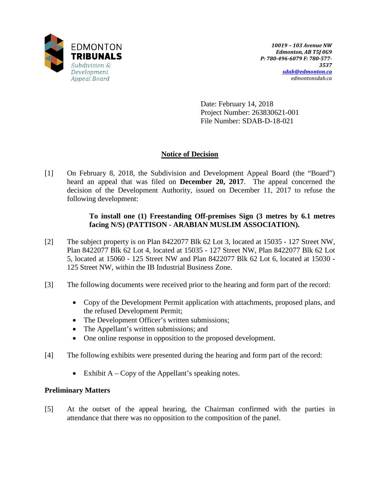

Date: February 14, 2018 Project Number: 263830621-001 File Number: SDAB-D-18-021

## **Notice of Decision**

[1] On February 8, 2018, the Subdivision and Development Appeal Board (the "Board") heard an appeal that was filed on **December 20, 2017**. The appeal concerned the decision of the Development Authority, issued on December 11, 2017 to refuse the following development:

## **To install one (1) Freestanding Off-premises Sign (3 metres by 6.1 metres facing N/S) (PATTISON - ARABIAN MUSLIM ASSOCIATION).**

- [2] The subject property is on Plan 8422077 Blk 62 Lot 3, located at 15035 127 Street NW, Plan 8422077 Blk 62 Lot 4, located at 15035 - 127 Street NW, Plan 8422077 Blk 62 Lot 5, located at 15060 - 125 Street NW and Plan 8422077 Blk 62 Lot 6, located at 15030 - 125 Street NW, within the IB Industrial Business Zone.
- [3] The following documents were received prior to the hearing and form part of the record:
	- Copy of the Development Permit application with attachments, proposed plans, and the refused Development Permit;
	- The Development Officer's written submissions;
	- The Appellant's written submissions; and
	- One online response in opposition to the proposed development.
- [4] The following exhibits were presented during the hearing and form part of the record:
	- Exhibit  $A Copy$  of the Appellant's speaking notes.

## **Preliminary Matters**

[5] At the outset of the appeal hearing, the Chairman confirmed with the parties in attendance that there was no opposition to the composition of the panel.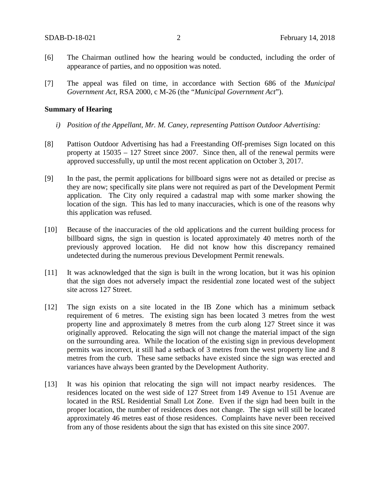- [6] The Chairman outlined how the hearing would be conducted, including the order of appearance of parties, and no opposition was noted.
- [7] The appeal was filed on time, in accordance with Section 686 of the *Municipal Government Act*, RSA 2000, c M-26 (the "*Municipal Government Act*").

#### **Summary of Hearing**

- *i) Position of the Appellant, Mr. M. Caney, representing Pattison Outdoor Advertising:*
- [8] Pattison Outdoor Advertising has had a Freestanding Off-premises Sign located on this property at 15035 – 127 Street since 2007. Since then, all of the renewal permits were approved successfully, up until the most recent application on October 3, 2017.
- [9] In the past, the permit applications for billboard signs were not as detailed or precise as they are now; specifically site plans were not required as part of the Development Permit application. The City only required a cadastral map with some marker showing the location of the sign. This has led to many inaccuracies, which is one of the reasons why this application was refused.
- [10] Because of the inaccuracies of the old applications and the current building process for billboard signs, the sign in question is located approximately 40 metres north of the previously approved location. He did not know how this discrepancy remained undetected during the numerous previous Development Permit renewals.
- [11] It was acknowledged that the sign is built in the wrong location, but it was his opinion that the sign does not adversely impact the residential zone located west of the subject site across 127 Street.
- [12] The sign exists on a site located in the IB Zone which has a minimum setback requirement of 6 metres. The existing sign has been located 3 metres from the west property line and approximately 8 metres from the curb along 127 Street since it was originally approved. Relocating the sign will not change the material impact of the sign on the surrounding area. While the location of the existing sign in previous development permits was incorrect, it still had a setback of 3 metres from the west property line and 8 metres from the curb. These same setbacks have existed since the sign was erected and variances have always been granted by the Development Authority.
- [13] It was his opinion that relocating the sign will not impact nearby residences. The residences located on the west side of 127 Street from 149 Avenue to 151 Avenue are located in the RSL Residential Small Lot Zone. Even if the sign had been built in the proper location, the number of residences does not change. The sign will still be located approximately 46 metres east of those residences. Complaints have never been received from any of those residents about the sign that has existed on this site since 2007.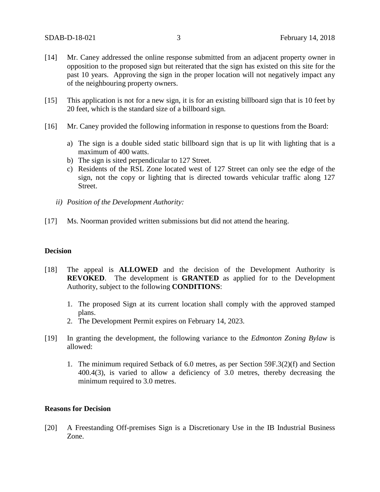- [14] Mr. Caney addressed the online response submitted from an adjacent property owner in opposition to the proposed sign but reiterated that the sign has existed on this site for the past 10 years. Approving the sign in the proper location will not negatively impact any of the neighbouring property owners.
- [15] This application is not for a new sign, it is for an existing billboard sign that is 10 feet by 20 feet, which is the standard size of a billboard sign.
- [16] Mr. Caney provided the following information in response to questions from the Board:
	- a) The sign is a double sided static billboard sign that is up lit with lighting that is a maximum of 400 watts.
	- b) The sign is sited perpendicular to 127 Street.
	- c) Residents of the RSL Zone located west of 127 Street can only see the edge of the sign, not the copy or lighting that is directed towards vehicular traffic along 127 Street.
	- *ii) Position of the Development Authority:*
- [17] Ms. Noorman provided written submissions but did not attend the hearing.

#### **Decision**

- [18] The appeal is **ALLOWED** and the decision of the Development Authority is **REVOKED**. The development is **GRANTED** as applied for to the Development Authority, subject to the following **CONDITIONS**:
	- 1. The proposed Sign at its current location shall comply with the approved stamped plans.
	- 2. The Development Permit expires on February 14, 2023.
- [19] In granting the development, the following variance to the *Edmonton Zoning Bylaw* is allowed:
	- 1. The minimum required Setback of 6.0 metres, as per Section 59F.3(2)(f) and Section 400.4(3), is varied to allow a deficiency of 3.0 metres, thereby decreasing the minimum required to 3.0 metres.

#### **Reasons for Decision**

[20] A Freestanding Off-premises Sign is a Discretionary Use in the IB Industrial Business Zone.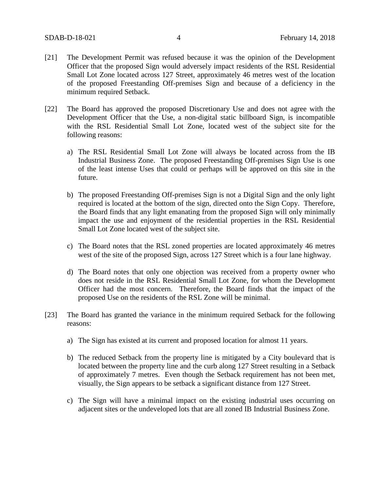- [21] The Development Permit was refused because it was the opinion of the Development Officer that the proposed Sign would adversely impact residents of the RSL Residential Small Lot Zone located across 127 Street, approximately 46 metres west of the location of the proposed Freestanding Off-premises Sign and because of a deficiency in the minimum required Setback.
- [22] The Board has approved the proposed Discretionary Use and does not agree with the Development Officer that the Use, a non-digital static billboard Sign, is incompatible with the RSL Residential Small Lot Zone, located west of the subject site for the following reasons:
	- a) The RSL Residential Small Lot Zone will always be located across from the IB Industrial Business Zone. The proposed Freestanding Off-premises Sign Use is one of the least intense Uses that could or perhaps will be approved on this site in the future.
	- b) The proposed Freestanding Off-premises Sign is not a Digital Sign and the only light required is located at the bottom of the sign, directed onto the Sign Copy. Therefore, the Board finds that any light emanating from the proposed Sign will only minimally impact the use and enjoyment of the residential properties in the RSL Residential Small Lot Zone located west of the subject site.
	- c) The Board notes that the RSL zoned properties are located approximately 46 metres west of the site of the proposed Sign, across 127 Street which is a four lane highway.
	- d) The Board notes that only one objection was received from a property owner who does not reside in the RSL Residential Small Lot Zone, for whom the Development Officer had the most concern. Therefore, the Board finds that the impact of the proposed Use on the residents of the RSL Zone will be minimal.
- [23] The Board has granted the variance in the minimum required Setback for the following reasons:
	- a) The Sign has existed at its current and proposed location for almost 11 years.
	- b) The reduced Setback from the property line is mitigated by a City boulevard that is located between the property line and the curb along 127 Street resulting in a Setback of approximately 7 metres. Even though the Setback requirement has not been met, visually, the Sign appears to be setback a significant distance from 127 Street.
	- c) The Sign will have a minimal impact on the existing industrial uses occurring on adjacent sites or the undeveloped lots that are all zoned IB Industrial Business Zone.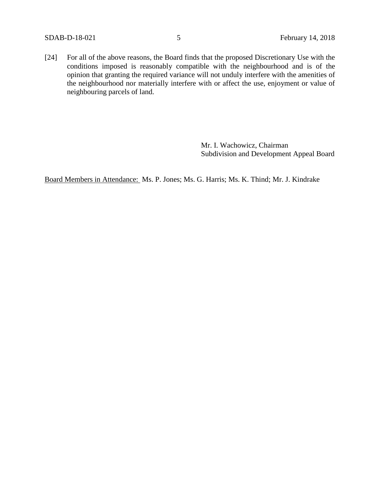[24] For all of the above reasons, the Board finds that the proposed Discretionary Use with the conditions imposed is reasonably compatible with the neighbourhood and is of the opinion that granting the required variance will not unduly interfere with the amenities of the neighbourhood nor materially interfere with or affect the use, enjoyment or value of neighbouring parcels of land.

> Mr. I. Wachowicz, Chairman Subdivision and Development Appeal Board

Board Members in Attendance: Ms. P. Jones; Ms. G. Harris; Ms. K. Thind; Mr. J. Kindrake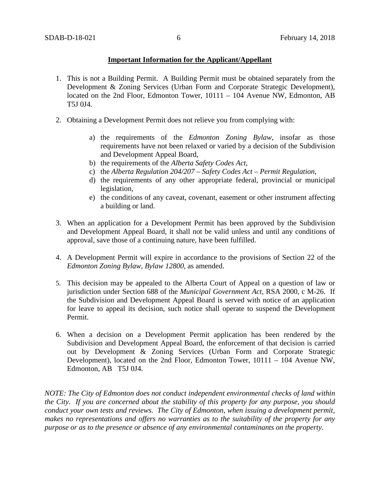#### **Important Information for the Applicant/Appellant**

- 1. This is not a Building Permit. A Building Permit must be obtained separately from the Development & Zoning Services (Urban Form and Corporate Strategic Development), located on the 2nd Floor, Edmonton Tower, 10111 – 104 Avenue NW, Edmonton, AB T5J 0J4.
- 2. Obtaining a Development Permit does not relieve you from complying with:
	- a) the requirements of the *Edmonton Zoning Bylaw*, insofar as those requirements have not been relaxed or varied by a decision of the Subdivision and Development Appeal Board,
	- b) the requirements of the *Alberta Safety Codes Act*,
	- c) the *Alberta Regulation 204/207 – Safety Codes Act – Permit Regulation*,
	- d) the requirements of any other appropriate federal, provincial or municipal legislation,
	- e) the conditions of any caveat, covenant, easement or other instrument affecting a building or land.
- 3. When an application for a Development Permit has been approved by the Subdivision and Development Appeal Board, it shall not be valid unless and until any conditions of approval, save those of a continuing nature, have been fulfilled.
- 4. A Development Permit will expire in accordance to the provisions of Section 22 of the *Edmonton Zoning Bylaw, Bylaw 12800*, as amended.
- 5. This decision may be appealed to the Alberta Court of Appeal on a question of law or jurisdiction under Section 688 of the *Municipal Government Act*, RSA 2000, c M-26. If the Subdivision and Development Appeal Board is served with notice of an application for leave to appeal its decision, such notice shall operate to suspend the Development Permit.
- 6. When a decision on a Development Permit application has been rendered by the Subdivision and Development Appeal Board, the enforcement of that decision is carried out by Development & Zoning Services (Urban Form and Corporate Strategic Development), located on the 2nd Floor, Edmonton Tower, 10111 – 104 Avenue NW, Edmonton, AB T5J 0J4.

*NOTE: The City of Edmonton does not conduct independent environmental checks of land within the City. If you are concerned about the stability of this property for any purpose, you should conduct your own tests and reviews. The City of Edmonton, when issuing a development permit, makes no representations and offers no warranties as to the suitability of the property for any purpose or as to the presence or absence of any environmental contaminants on the property.*